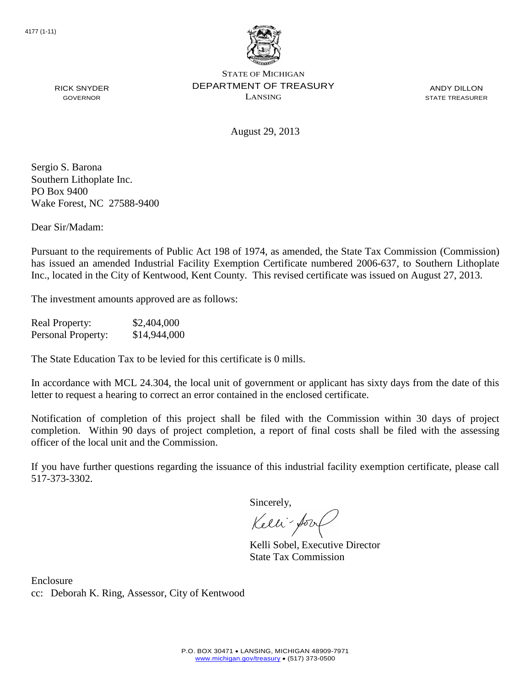

ANDY DILLON STATE TREASURER

RICK SNYDER GOVERNOR

August 29, 2013

Sergio S. Barona Southern Lithoplate Inc. PO Box 9400 Wake Forest, NC 27588-9400

Dear Sir/Madam:

Pursuant to the requirements of Public Act 198 of 1974, as amended, the State Tax Commission (Commission) has issued an amended Industrial Facility Exemption Certificate numbered 2006-637, to Southern Lithoplate Inc., located in the City of Kentwood, Kent County. This revised certificate was issued on August 27, 2013.

The investment amounts approved are as follows:

Real Property: \$2,404,000 Personal Property: \$14,944,000

The State Education Tax to be levied for this certificate is 0 mills.

In accordance with MCL 24.304, the local unit of government or applicant has sixty days from the date of this letter to request a hearing to correct an error contained in the enclosed certificate.

Notification of completion of this project shall be filed with the Commission within 30 days of project completion. Within 90 days of project completion, a report of final costs shall be filed with the assessing officer of the local unit and the Commission.

If you have further questions regarding the issuance of this industrial facility exemption certificate, please call 517-373-3302.

Sincerely,

Kelli-for

Kelli Sobel, Executive Director State Tax Commission

Enclosure cc: Deborah K. Ring, Assessor, City of Kentwood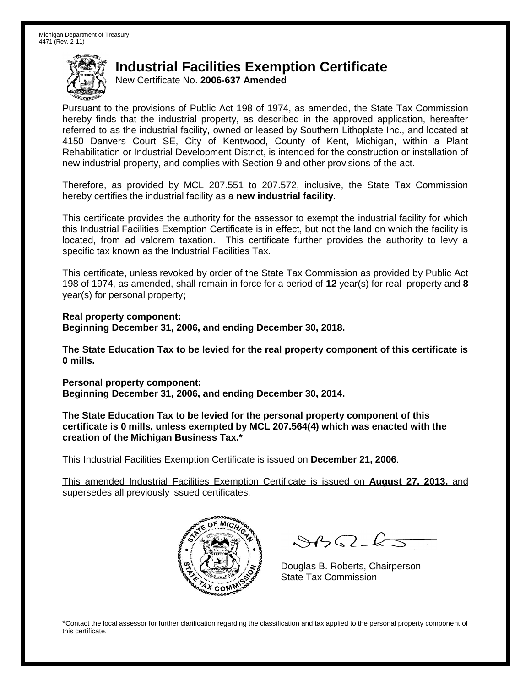New Certificate No. **2006-637 Amended**

Pursuant to the provisions of Public Act 198 of 1974, as amended, the State Tax Commission hereby finds that the industrial property, as described in the approved application, hereafter referred to as the industrial facility, owned or leased by Southern Lithoplate Inc., and located at 4150 Danvers Court SE, City of Kentwood, County of Kent, Michigan, within a Plant Rehabilitation or Industrial Development District, is intended for the construction or installation of new industrial property, and complies with Section 9 and other provisions of the act.

Therefore, as provided by MCL 207.551 to 207.572, inclusive, the State Tax Commission hereby certifies the industrial facility as a **new industrial facility**.

This certificate provides the authority for the assessor to exempt the industrial facility for which this Industrial Facilities Exemption Certificate is in effect, but not the land on which the facility is located, from ad valorem taxation. This certificate further provides the authority to levy a specific tax known as the Industrial Facilities Tax.

This certificate, unless revoked by order of the State Tax Commission as provided by Public Act 198 of 1974, as amended, shall remain in force for a period of **12** year(s) for real property and **8** year(s) for personal property**;**

**Real property component: Beginning December 31, 2006, and ending December 30, 2018.**

**The State Education Tax to be levied for the real property component of this certificate is 0 mills.**

**Personal property component: Beginning December 31, 2006, and ending December 30, 2014.**

**The State Education Tax to be levied for the personal property component of this certificate is 0 mills, unless exempted by MCL 207.564(4) which was enacted with the creation of the Michigan Business Tax.\***

This Industrial Facilities Exemption Certificate is issued on **December 21, 2006**.

This amended Industrial Facilities Exemption Certificate is issued on **August 27, 2013,** and supersedes all previously issued certificates.



 $882 - 6$ 

Douglas B. Roberts, Chairperson State Tax Commission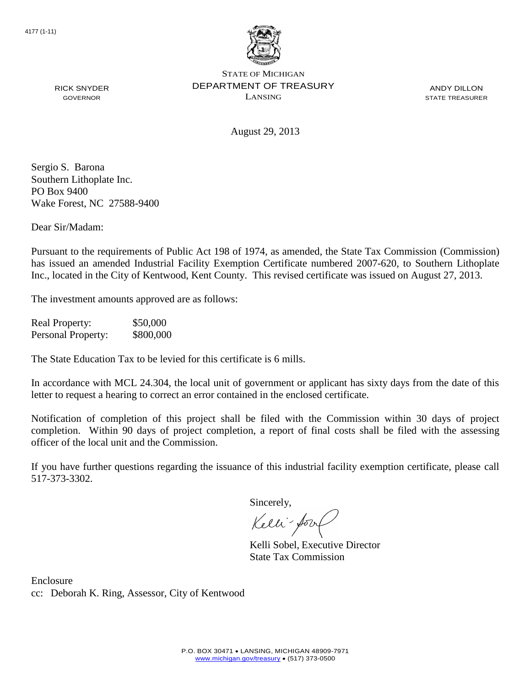

ANDY DILLON STATE TREASURER

August 29, 2013

Sergio S. Barona Southern Lithoplate Inc. PO Box 9400 Wake Forest, NC 27588-9400

RICK SNYDER GOVERNOR

Dear Sir/Madam:

Pursuant to the requirements of Public Act 198 of 1974, as amended, the State Tax Commission (Commission) has issued an amended Industrial Facility Exemption Certificate numbered 2007-620, to Southern Lithoplate Inc., located in the City of Kentwood, Kent County. This revised certificate was issued on August 27, 2013.

The investment amounts approved are as follows:

Real Property: \$50,000 Personal Property: \$800,000

The State Education Tax to be levied for this certificate is 6 mills.

In accordance with MCL 24.304, the local unit of government or applicant has sixty days from the date of this letter to request a hearing to correct an error contained in the enclosed certificate.

Notification of completion of this project shall be filed with the Commission within 30 days of project completion. Within 90 days of project completion, a report of final costs shall be filed with the assessing officer of the local unit and the Commission.

If you have further questions regarding the issuance of this industrial facility exemption certificate, please call 517-373-3302.

Sincerely,

Kelli-for

Kelli Sobel, Executive Director State Tax Commission

Enclosure cc: Deborah K. Ring, Assessor, City of Kentwood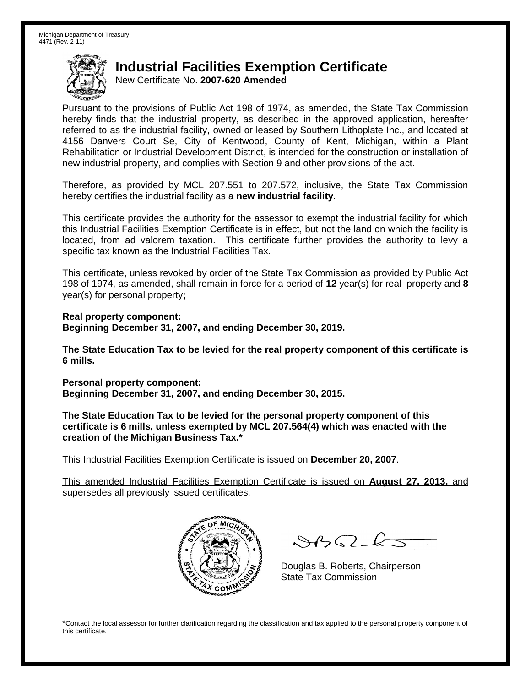New Certificate No. **2007-620 Amended**

Pursuant to the provisions of Public Act 198 of 1974, as amended, the State Tax Commission hereby finds that the industrial property, as described in the approved application, hereafter referred to as the industrial facility, owned or leased by Southern Lithoplate Inc., and located at 4156 Danvers Court Se, City of Kentwood, County of Kent, Michigan, within a Plant Rehabilitation or Industrial Development District, is intended for the construction or installation of new industrial property, and complies with Section 9 and other provisions of the act.

Therefore, as provided by MCL 207.551 to 207.572, inclusive, the State Tax Commission hereby certifies the industrial facility as a **new industrial facility**.

This certificate provides the authority for the assessor to exempt the industrial facility for which this Industrial Facilities Exemption Certificate is in effect, but not the land on which the facility is located, from ad valorem taxation. This certificate further provides the authority to levy a specific tax known as the Industrial Facilities Tax.

This certificate, unless revoked by order of the State Tax Commission as provided by Public Act 198 of 1974, as amended, shall remain in force for a period of **12** year(s) for real property and **8** year(s) for personal property**;**

**Real property component: Beginning December 31, 2007, and ending December 30, 2019.**

**The State Education Tax to be levied for the real property component of this certificate is 6 mills.**

**Personal property component: Beginning December 31, 2007, and ending December 30, 2015.**

**The State Education Tax to be levied for the personal property component of this certificate is 6 mills, unless exempted by MCL 207.564(4) which was enacted with the creation of the Michigan Business Tax.\***

This Industrial Facilities Exemption Certificate is issued on **December 20, 2007**.

This amended Industrial Facilities Exemption Certificate is issued on **August 27, 2013,** and supersedes all previously issued certificates.



 $882 - 6$ 

Douglas B. Roberts, Chairperson State Tax Commission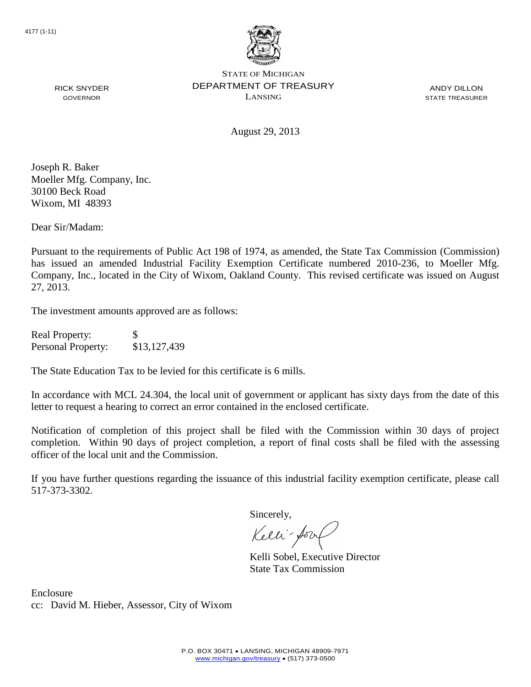

ANDY DILLON STATE TREASURER

August 29, 2013

Joseph R. Baker Moeller Mfg. Company, Inc. 30100 Beck Road Wixom, MI 48393

RICK SNYDER GOVERNOR

Dear Sir/Madam:

Pursuant to the requirements of Public Act 198 of 1974, as amended, the State Tax Commission (Commission) has issued an amended Industrial Facility Exemption Certificate numbered 2010-236, to Moeller Mfg. Company, Inc., located in the City of Wixom, Oakland County. This revised certificate was issued on August 27, 2013.

The investment amounts approved are as follows:

| <b>Real Property:</b> | \$           |
|-----------------------|--------------|
| Personal Property:    | \$13,127,439 |

The State Education Tax to be levied for this certificate is 6 mills.

In accordance with MCL 24.304, the local unit of government or applicant has sixty days from the date of this letter to request a hearing to correct an error contained in the enclosed certificate.

Notification of completion of this project shall be filed with the Commission within 30 days of project completion. Within 90 days of project completion, a report of final costs shall be filed with the assessing officer of the local unit and the Commission.

If you have further questions regarding the issuance of this industrial facility exemption certificate, please call 517-373-3302.

Sincerely,

Kelli-Sool

Kelli Sobel, Executive Director State Tax Commission

Enclosure cc: David M. Hieber, Assessor, City of Wixom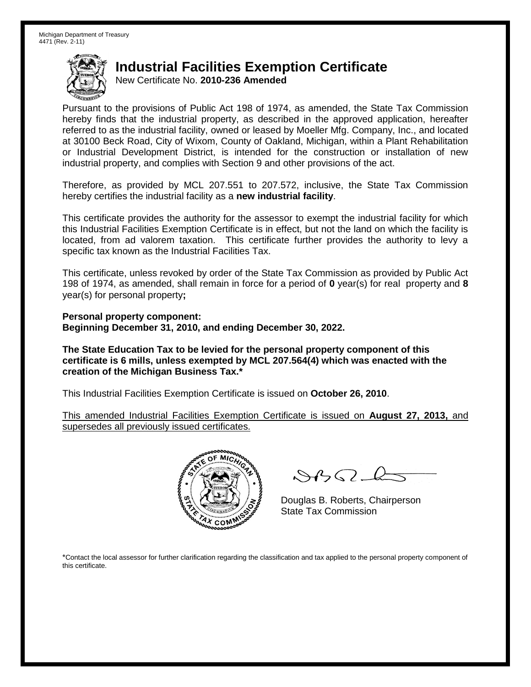New Certificate No. **2010-236 Amended**

Pursuant to the provisions of Public Act 198 of 1974, as amended, the State Tax Commission hereby finds that the industrial property, as described in the approved application, hereafter referred to as the industrial facility, owned or leased by Moeller Mfg. Company, Inc., and located at 30100 Beck Road, City of Wixom, County of Oakland, Michigan, within a Plant Rehabilitation or Industrial Development District, is intended for the construction or installation of new industrial property, and complies with Section 9 and other provisions of the act.

Therefore, as provided by MCL 207.551 to 207.572, inclusive, the State Tax Commission hereby certifies the industrial facility as a **new industrial facility**.

This certificate provides the authority for the assessor to exempt the industrial facility for which this Industrial Facilities Exemption Certificate is in effect, but not the land on which the facility is located, from ad valorem taxation. This certificate further provides the authority to levy a specific tax known as the Industrial Facilities Tax.

This certificate, unless revoked by order of the State Tax Commission as provided by Public Act 198 of 1974, as amended, shall remain in force for a period of **0** year(s) for real property and **8** year(s) for personal property**;**

**Personal property component: Beginning December 31, 2010, and ending December 30, 2022.**

**The State Education Tax to be levied for the personal property component of this certificate is 6 mills, unless exempted by MCL 207.564(4) which was enacted with the creation of the Michigan Business Tax.\***

This Industrial Facilities Exemption Certificate is issued on **October 26, 2010**.

This amended Industrial Facilities Exemption Certificate is issued on **August 27, 2013,** and supersedes all previously issued certificates.



 $8450 - 6$ 

Douglas B. Roberts, Chairperson State Tax Commission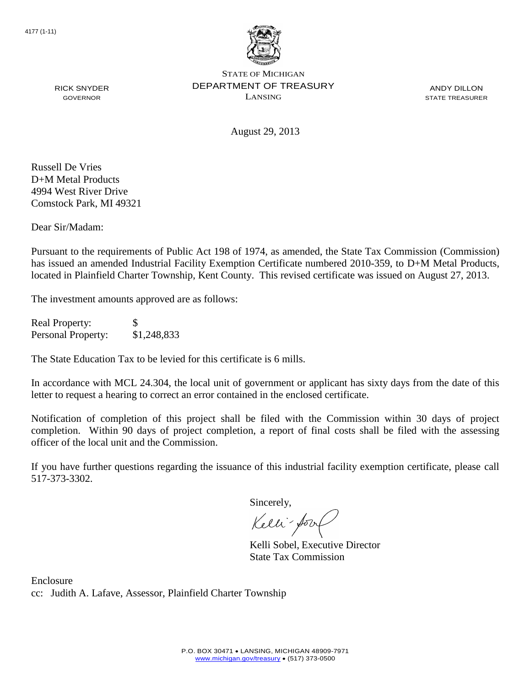

ANDY DILLON STATE TREASURER

August 29, 2013

Russell De Vries D+M Metal Products 4994 West River Drive Comstock Park, MI 49321

RICK SNYDER GOVERNOR

Dear Sir/Madam:

Pursuant to the requirements of Public Act 198 of 1974, as amended, the State Tax Commission (Commission) has issued an amended Industrial Facility Exemption Certificate numbered 2010-359, to D+M Metal Products, located in Plainfield Charter Township, Kent County. This revised certificate was issued on August 27, 2013.

The investment amounts approved are as follows:

Real Property: \$ Personal Property: \$1,248,833

The State Education Tax to be levied for this certificate is 6 mills.

In accordance with MCL 24.304, the local unit of government or applicant has sixty days from the date of this letter to request a hearing to correct an error contained in the enclosed certificate.

Notification of completion of this project shall be filed with the Commission within 30 days of project completion. Within 90 days of project completion, a report of final costs shall be filed with the assessing officer of the local unit and the Commission.

If you have further questions regarding the issuance of this industrial facility exemption certificate, please call 517-373-3302.

Sincerely,

Kelli-Sor

Kelli Sobel, Executive Director State Tax Commission

Enclosure cc: Judith A. Lafave, Assessor, Plainfield Charter Township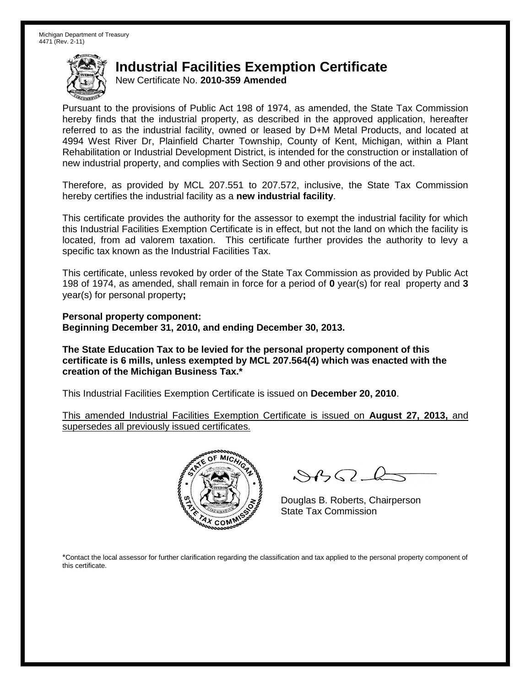New Certificate No. **2010-359 Amended**

Pursuant to the provisions of Public Act 198 of 1974, as amended, the State Tax Commission hereby finds that the industrial property, as described in the approved application, hereafter referred to as the industrial facility, owned or leased by D+M Metal Products, and located at 4994 West River Dr, Plainfield Charter Township, County of Kent, Michigan, within a Plant Rehabilitation or Industrial Development District, is intended for the construction or installation of new industrial property, and complies with Section 9 and other provisions of the act.

Therefore, as provided by MCL 207.551 to 207.572, inclusive, the State Tax Commission hereby certifies the industrial facility as a **new industrial facility**.

This certificate provides the authority for the assessor to exempt the industrial facility for which this Industrial Facilities Exemption Certificate is in effect, but not the land on which the facility is located, from ad valorem taxation. This certificate further provides the authority to levy a specific tax known as the Industrial Facilities Tax.

This certificate, unless revoked by order of the State Tax Commission as provided by Public Act 198 of 1974, as amended, shall remain in force for a period of **0** year(s) for real property and **3** year(s) for personal property**;**

**Personal property component: Beginning December 31, 2010, and ending December 30, 2013.**

**The State Education Tax to be levied for the personal property component of this certificate is 6 mills, unless exempted by MCL 207.564(4) which was enacted with the creation of the Michigan Business Tax.\***

This Industrial Facilities Exemption Certificate is issued on **December 20, 2010**.

This amended Industrial Facilities Exemption Certificate is issued on **August 27, 2013,** and supersedes all previously issued certificates.



 $8450 - 6$ 

Douglas B. Roberts, Chairperson State Tax Commission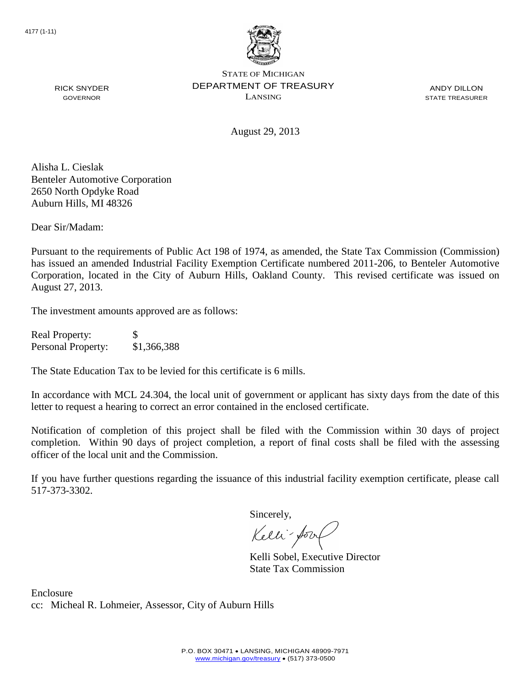

ANDY DILLON STATE TREASURER

August 29, 2013

Alisha L. Cieslak Benteler Automotive Corporation 2650 North Opdyke Road Auburn Hills, MI 48326

RICK SNYDER GOVERNOR

Dear Sir/Madam:

Pursuant to the requirements of Public Act 198 of 1974, as amended, the State Tax Commission (Commission) has issued an amended Industrial Facility Exemption Certificate numbered 2011-206, to Benteler Automotive Corporation, located in the City of Auburn Hills, Oakland County. This revised certificate was issued on August 27, 2013.

The investment amounts approved are as follows:

| <b>Real Property:</b>     | \$.         |
|---------------------------|-------------|
| <b>Personal Property:</b> | \$1,366,388 |

The State Education Tax to be levied for this certificate is 6 mills.

In accordance with MCL 24.304, the local unit of government or applicant has sixty days from the date of this letter to request a hearing to correct an error contained in the enclosed certificate.

Notification of completion of this project shall be filed with the Commission within 30 days of project completion. Within 90 days of project completion, a report of final costs shall be filed with the assessing officer of the local unit and the Commission.

If you have further questions regarding the issuance of this industrial facility exemption certificate, please call 517-373-3302.

Sincerely,

Kelli-Sort

Kelli Sobel, Executive Director State Tax Commission

Enclosure cc: Micheal R. Lohmeier, Assessor, City of Auburn Hills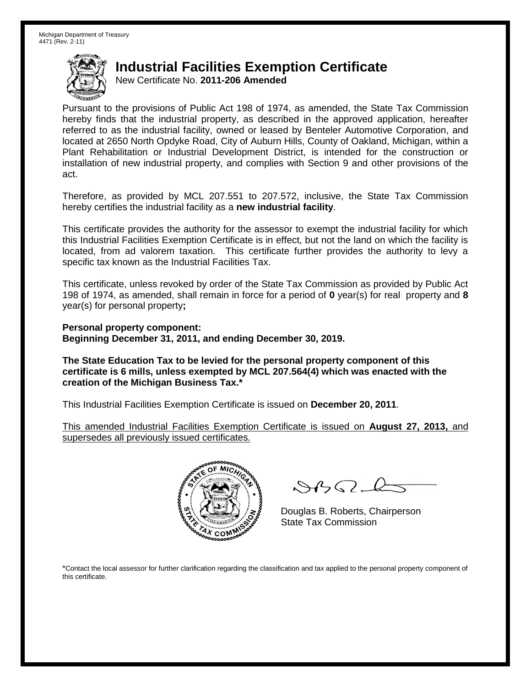New Certificate No. **2011-206 Amended**

Pursuant to the provisions of Public Act 198 of 1974, as amended, the State Tax Commission hereby finds that the industrial property, as described in the approved application, hereafter referred to as the industrial facility, owned or leased by Benteler Automotive Corporation, and located at 2650 North Opdyke Road, City of Auburn Hills, County of Oakland, Michigan, within a Plant Rehabilitation or Industrial Development District, is intended for the construction or installation of new industrial property, and complies with Section 9 and other provisions of the act.

Therefore, as provided by MCL 207.551 to 207.572, inclusive, the State Tax Commission hereby certifies the industrial facility as a **new industrial facility**.

This certificate provides the authority for the assessor to exempt the industrial facility for which this Industrial Facilities Exemption Certificate is in effect, but not the land on which the facility is located, from ad valorem taxation. This certificate further provides the authority to levy a specific tax known as the Industrial Facilities Tax.

This certificate, unless revoked by order of the State Tax Commission as provided by Public Act 198 of 1974, as amended, shall remain in force for a period of **0** year(s) for real property and **8** year(s) for personal property**;**

**Personal property component: Beginning December 31, 2011, and ending December 30, 2019.**

**The State Education Tax to be levied for the personal property component of this certificate is 6 mills, unless exempted by MCL 207.564(4) which was enacted with the creation of the Michigan Business Tax.\***

This Industrial Facilities Exemption Certificate is issued on **December 20, 2011**.

This amended Industrial Facilities Exemption Certificate is issued on **August 27, 2013,** and supersedes all previously issued certificates.



 $882 - 6$ 

Douglas B. Roberts, Chairperson State Tax Commission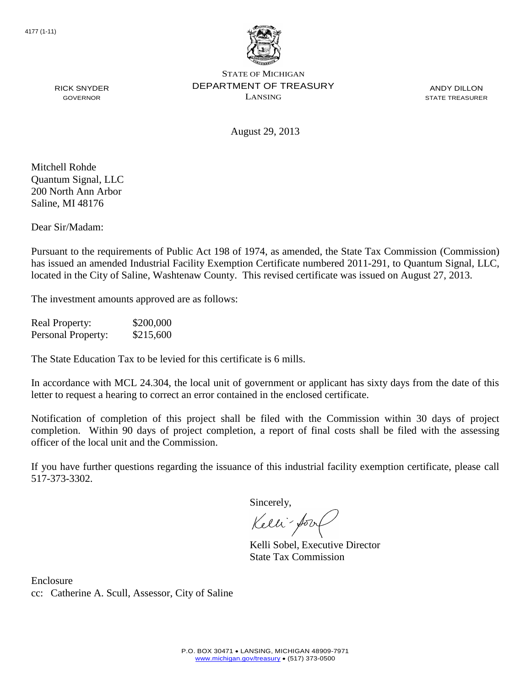

ANDY DILLON STATE TREASURER

August 29, 2013

Mitchell Rohde Quantum Signal, LLC 200 North Ann Arbor Saline, MI 48176

RICK SNYDER GOVERNOR

Dear Sir/Madam:

Pursuant to the requirements of Public Act 198 of 1974, as amended, the State Tax Commission (Commission) has issued an amended Industrial Facility Exemption Certificate numbered 2011-291, to Quantum Signal, LLC, located in the City of Saline, Washtenaw County. This revised certificate was issued on August 27, 2013.

The investment amounts approved are as follows:

| <b>Real Property:</b> | \$200,000 |
|-----------------------|-----------|
| Personal Property:    | \$215,600 |

The State Education Tax to be levied for this certificate is 6 mills.

In accordance with MCL 24.304, the local unit of government or applicant has sixty days from the date of this letter to request a hearing to correct an error contained in the enclosed certificate.

Notification of completion of this project shall be filed with the Commission within 30 days of project completion. Within 90 days of project completion, a report of final costs shall be filed with the assessing officer of the local unit and the Commission.

If you have further questions regarding the issuance of this industrial facility exemption certificate, please call 517-373-3302.

Sincerely,

Kelli-Sorr

Kelli Sobel, Executive Director State Tax Commission

Enclosure cc: Catherine A. Scull, Assessor, City of Saline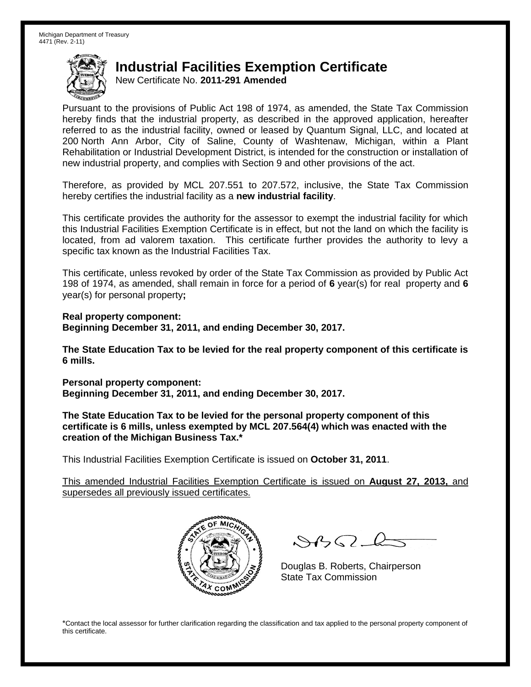New Certificate No. **2011-291 Amended**

Pursuant to the provisions of Public Act 198 of 1974, as amended, the State Tax Commission hereby finds that the industrial property, as described in the approved application, hereafter referred to as the industrial facility, owned or leased by Quantum Signal, LLC, and located at 200 North Ann Arbor, City of Saline, County of Washtenaw, Michigan, within a Plant Rehabilitation or Industrial Development District, is intended for the construction or installation of new industrial property, and complies with Section 9 and other provisions of the act.

Therefore, as provided by MCL 207.551 to 207.572, inclusive, the State Tax Commission hereby certifies the industrial facility as a **new industrial facility**.

This certificate provides the authority for the assessor to exempt the industrial facility for which this Industrial Facilities Exemption Certificate is in effect, but not the land on which the facility is located, from ad valorem taxation. This certificate further provides the authority to levy a specific tax known as the Industrial Facilities Tax.

This certificate, unless revoked by order of the State Tax Commission as provided by Public Act 198 of 1974, as amended, shall remain in force for a period of **6** year(s) for real property and **6** year(s) for personal property**;**

**Real property component: Beginning December 31, 2011, and ending December 30, 2017.**

**The State Education Tax to be levied for the real property component of this certificate is 6 mills.**

**Personal property component: Beginning December 31, 2011, and ending December 30, 2017.**

**The State Education Tax to be levied for the personal property component of this certificate is 6 mills, unless exempted by MCL 207.564(4) which was enacted with the creation of the Michigan Business Tax.\***

This Industrial Facilities Exemption Certificate is issued on **October 31, 2011**.

This amended Industrial Facilities Exemption Certificate is issued on **August 27, 2013,** and supersedes all previously issued certificates.



 $\mathcal{S}$ 

Douglas B. Roberts, Chairperson State Tax Commission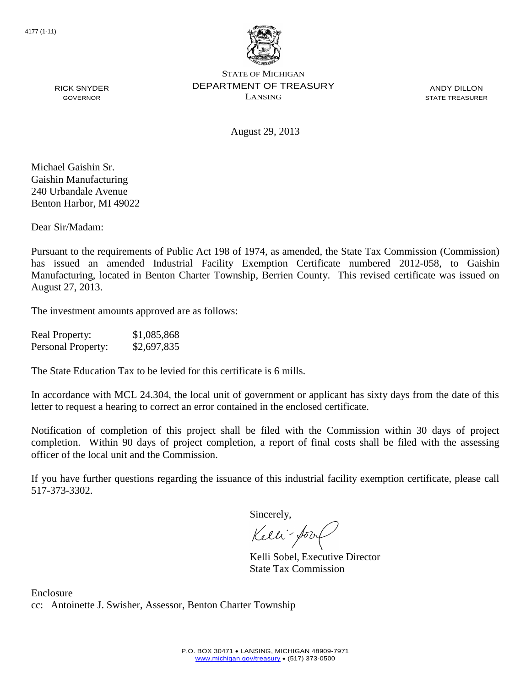

ANDY DILLON STATE TREASURER

RICK SNYDER GOVERNOR

August 29, 2013

Michael Gaishin Sr. Gaishin Manufacturing 240 Urbandale Avenue Benton Harbor, MI 49022

Dear Sir/Madam:

Pursuant to the requirements of Public Act 198 of 1974, as amended, the State Tax Commission (Commission) has issued an amended Industrial Facility Exemption Certificate numbered 2012-058, to Gaishin Manufacturing, located in Benton Charter Township, Berrien County. This revised certificate was issued on August 27, 2013.

The investment amounts approved are as follows:

| <b>Real Property:</b> | \$1,085,868 |
|-----------------------|-------------|
| Personal Property:    | \$2,697,835 |

The State Education Tax to be levied for this certificate is 6 mills.

In accordance with MCL 24.304, the local unit of government or applicant has sixty days from the date of this letter to request a hearing to correct an error contained in the enclosed certificate.

Notification of completion of this project shall be filed with the Commission within 30 days of project completion. Within 90 days of project completion, a report of final costs shall be filed with the assessing officer of the local unit and the Commission.

If you have further questions regarding the issuance of this industrial facility exemption certificate, please call 517-373-3302.

Sincerely,

Kelli-Sool

Kelli Sobel, Executive Director State Tax Commission

Enclosure cc: Antoinette J. Swisher, Assessor, Benton Charter Township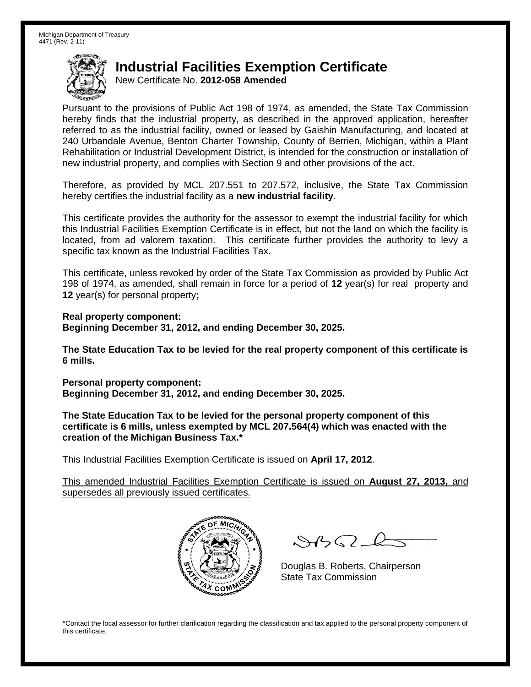New Certificate No. **2012-058 Amended**

Pursuant to the provisions of Public Act 198 of 1974, as amended, the State Tax Commission hereby finds that the industrial property, as described in the approved application, hereafter referred to as the industrial facility, owned or leased by Gaishin Manufacturing, and located at 240 Urbandale Avenue, Benton Charter Township, County of Berrien, Michigan, within a Plant Rehabilitation or Industrial Development District, is intended for the construction or installation of new industrial property, and complies with Section 9 and other provisions of the act.

Therefore, as provided by MCL 207.551 to 207.572, inclusive, the State Tax Commission hereby certifies the industrial facility as a **new industrial facility**.

This certificate provides the authority for the assessor to exempt the industrial facility for which this Industrial Facilities Exemption Certificate is in effect, but not the land on which the facility is located, from ad valorem taxation. This certificate further provides the authority to levy a specific tax known as the Industrial Facilities Tax.

This certificate, unless revoked by order of the State Tax Commission as provided by Public Act 198 of 1974, as amended, shall remain in force for a period of **12** year(s) for real property and **12** year(s) for personal property**;**

**Real property component: Beginning December 31, 2012, and ending December 30, 2025.**

**The State Education Tax to be levied for the real property component of this certificate is 6 mills.**

**Personal property component: Beginning December 31, 2012, and ending December 30, 2025.**

**The State Education Tax to be levied for the personal property component of this certificate is 6 mills, unless exempted by MCL 207.564(4) which was enacted with the creation of the Michigan Business Tax.\***

This Industrial Facilities Exemption Certificate is issued on **April 17, 2012**.

This amended Industrial Facilities Exemption Certificate is issued on **August 27, 2013,** and supersedes all previously issued certificates.



 $\mathcal{A}$ 

Douglas B. Roberts, Chairperson State Tax Commission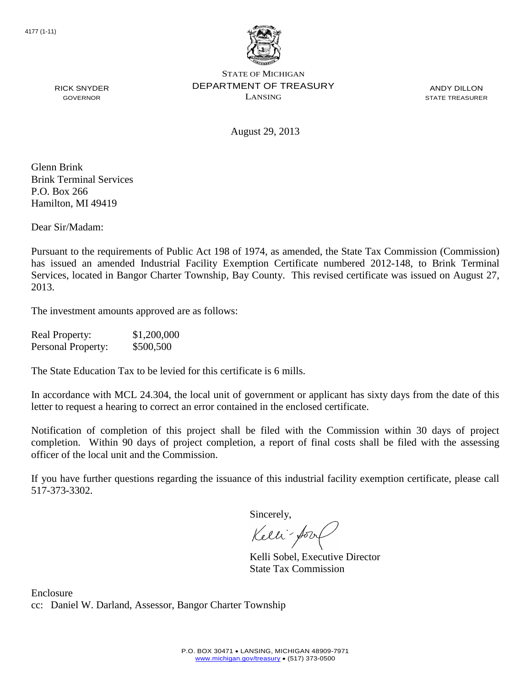

ANDY DILLON STATE TREASURER

August 29, 2013

Glenn Brink Brink Terminal Services P.O. Box 266 Hamilton, MI 49419

RICK SNYDER GOVERNOR

Dear Sir/Madam:

Pursuant to the requirements of Public Act 198 of 1974, as amended, the State Tax Commission (Commission) has issued an amended Industrial Facility Exemption Certificate numbered 2012-148, to Brink Terminal Services, located in Bangor Charter Township, Bay County. This revised certificate was issued on August 27, 2013.

The investment amounts approved are as follows:

| <b>Real Property:</b> | \$1,200,000 |
|-----------------------|-------------|
| Personal Property:    | \$500,500   |

The State Education Tax to be levied for this certificate is 6 mills.

In accordance with MCL 24.304, the local unit of government or applicant has sixty days from the date of this letter to request a hearing to correct an error contained in the enclosed certificate.

Notification of completion of this project shall be filed with the Commission within 30 days of project completion. Within 90 days of project completion, a report of final costs shall be filed with the assessing officer of the local unit and the Commission.

If you have further questions regarding the issuance of this industrial facility exemption certificate, please call 517-373-3302.

Sincerely,

Kelli-Sool

Kelli Sobel, Executive Director State Tax Commission

Enclosure cc: Daniel W. Darland, Assessor, Bangor Charter Township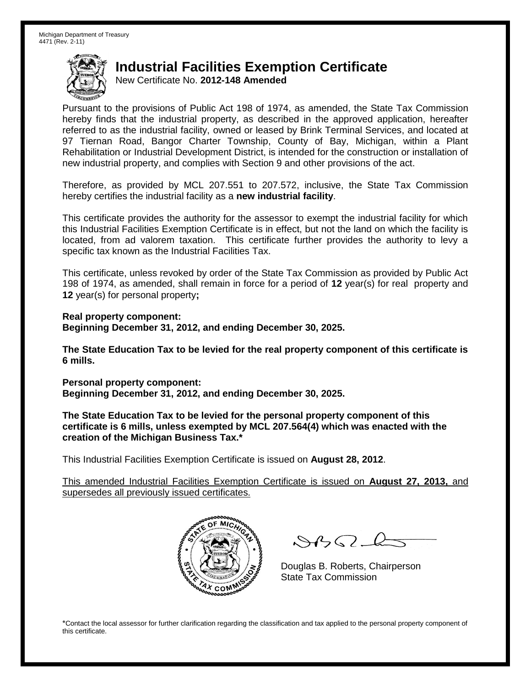New Certificate No. **2012-148 Amended**

Pursuant to the provisions of Public Act 198 of 1974, as amended, the State Tax Commission hereby finds that the industrial property, as described in the approved application, hereafter referred to as the industrial facility, owned or leased by Brink Terminal Services, and located at 97 Tiernan Road, Bangor Charter Township, County of Bay, Michigan, within a Plant Rehabilitation or Industrial Development District, is intended for the construction or installation of new industrial property, and complies with Section 9 and other provisions of the act.

Therefore, as provided by MCL 207.551 to 207.572, inclusive, the State Tax Commission hereby certifies the industrial facility as a **new industrial facility**.

This certificate provides the authority for the assessor to exempt the industrial facility for which this Industrial Facilities Exemption Certificate is in effect, but not the land on which the facility is located, from ad valorem taxation. This certificate further provides the authority to levy a specific tax known as the Industrial Facilities Tax.

This certificate, unless revoked by order of the State Tax Commission as provided by Public Act 198 of 1974, as amended, shall remain in force for a period of **12** year(s) for real property and **12** year(s) for personal property**;**

**Real property component: Beginning December 31, 2012, and ending December 30, 2025.**

**The State Education Tax to be levied for the real property component of this certificate is 6 mills.**

**Personal property component: Beginning December 31, 2012, and ending December 30, 2025.**

**The State Education Tax to be levied for the personal property component of this certificate is 6 mills, unless exempted by MCL 207.564(4) which was enacted with the creation of the Michigan Business Tax.\***

This Industrial Facilities Exemption Certificate is issued on **August 28, 2012**.

This amended Industrial Facilities Exemption Certificate is issued on **August 27, 2013,** and supersedes all previously issued certificates.



 $\mathcal{A}$ 

Douglas B. Roberts, Chairperson State Tax Commission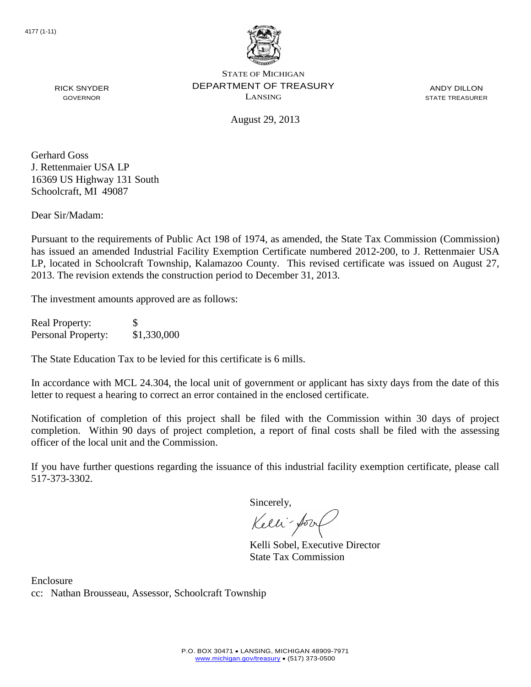

RICK SNYDER GOVERNOR

STATE OF MICHIGAN DEPARTMENT OF TREASURY LANSING

ANDY DILLON STATE TREASURER

August 29, 2013

Gerhard Goss J. Rettenmaier USA LP 16369 US Highway 131 South Schoolcraft, MI 49087

Dear Sir/Madam:

Pursuant to the requirements of Public Act 198 of 1974, as amended, the State Tax Commission (Commission) has issued an amended Industrial Facility Exemption Certificate numbered 2012-200, to J. Rettenmaier USA LP, located in Schoolcraft Township, Kalamazoo County. This revised certificate was issued on August 27, 2013. The revision extends the construction period to December 31, 2013.

The investment amounts approved are as follows:

Real Property: \$ Personal Property: \$1,330,000

The State Education Tax to be levied for this certificate is 6 mills.

In accordance with MCL 24.304, the local unit of government or applicant has sixty days from the date of this letter to request a hearing to correct an error contained in the enclosed certificate.

Notification of completion of this project shall be filed with the Commission within 30 days of project completion. Within 90 days of project completion, a report of final costs shall be filed with the assessing officer of the local unit and the Commission.

If you have further questions regarding the issuance of this industrial facility exemption certificate, please call 517-373-3302.

Sincerely,

Kelli-for

Kelli Sobel, Executive Director State Tax Commission

Enclosure cc: Nathan Brousseau, Assessor, Schoolcraft Township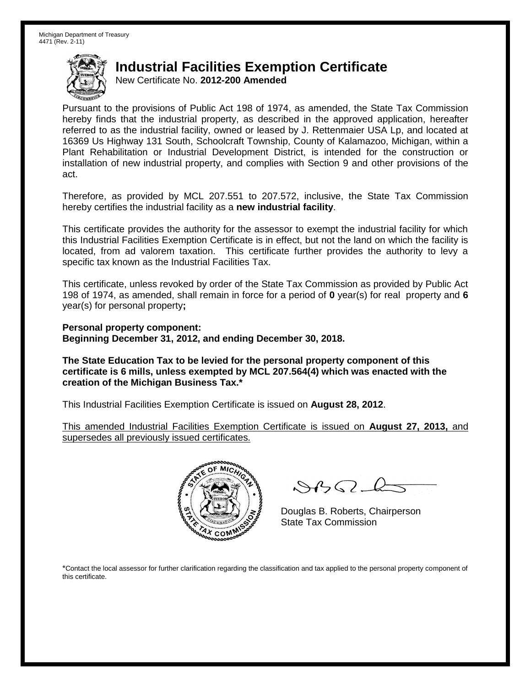New Certificate No. **2012-200 Amended**

Pursuant to the provisions of Public Act 198 of 1974, as amended, the State Tax Commission hereby finds that the industrial property, as described in the approved application, hereafter referred to as the industrial facility, owned or leased by J. Rettenmaier USA Lp, and located at 16369 Us Highway 131 South, Schoolcraft Township, County of Kalamazoo, Michigan, within a Plant Rehabilitation or Industrial Development District, is intended for the construction or installation of new industrial property, and complies with Section 9 and other provisions of the act.

Therefore, as provided by MCL 207.551 to 207.572, inclusive, the State Tax Commission hereby certifies the industrial facility as a **new industrial facility**.

This certificate provides the authority for the assessor to exempt the industrial facility for which this Industrial Facilities Exemption Certificate is in effect, but not the land on which the facility is located, from ad valorem taxation. This certificate further provides the authority to levy a specific tax known as the Industrial Facilities Tax.

This certificate, unless revoked by order of the State Tax Commission as provided by Public Act 198 of 1974, as amended, shall remain in force for a period of **0** year(s) for real property and **6** year(s) for personal property**;**

**Personal property component: Beginning December 31, 2012, and ending December 30, 2018.**

**The State Education Tax to be levied for the personal property component of this certificate is 6 mills, unless exempted by MCL 207.564(4) which was enacted with the creation of the Michigan Business Tax.\***

This Industrial Facilities Exemption Certificate is issued on **August 28, 2012**.

This amended Industrial Facilities Exemption Certificate is issued on **August 27, 2013,** and supersedes all previously issued certificates.



 $882 - 6$ 

Douglas B. Roberts, Chairperson State Tax Commission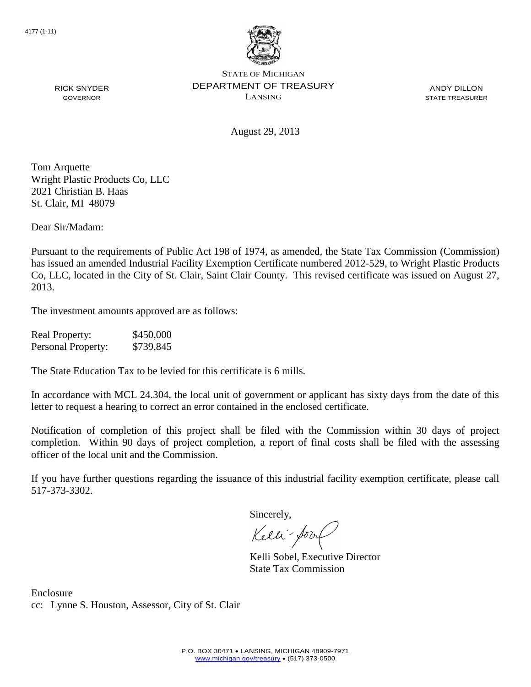

ANDY DILLON STATE TREASURER

August 29, 2013

Tom Arquette Wright Plastic Products Co, LLC 2021 Christian B. Haas St. Clair, MI 48079

RICK SNYDER GOVERNOR

Dear Sir/Madam:

Pursuant to the requirements of Public Act 198 of 1974, as amended, the State Tax Commission (Commission) has issued an amended Industrial Facility Exemption Certificate numbered 2012-529, to Wright Plastic Products Co, LLC, located in the City of St. Clair, Saint Clair County. This revised certificate was issued on August 27, 2013.

The investment amounts approved are as follows:

| <b>Real Property:</b> | \$450,000 |
|-----------------------|-----------|
| Personal Property:    | \$739,845 |

The State Education Tax to be levied for this certificate is 6 mills.

In accordance with MCL 24.304, the local unit of government or applicant has sixty days from the date of this letter to request a hearing to correct an error contained in the enclosed certificate.

Notification of completion of this project shall be filed with the Commission within 30 days of project completion. Within 90 days of project completion, a report of final costs shall be filed with the assessing officer of the local unit and the Commission.

If you have further questions regarding the issuance of this industrial facility exemption certificate, please call 517-373-3302.

Sincerely,

Kelli-Sool

Kelli Sobel, Executive Director State Tax Commission

Enclosure cc: Lynne S. Houston, Assessor, City of St. Clair